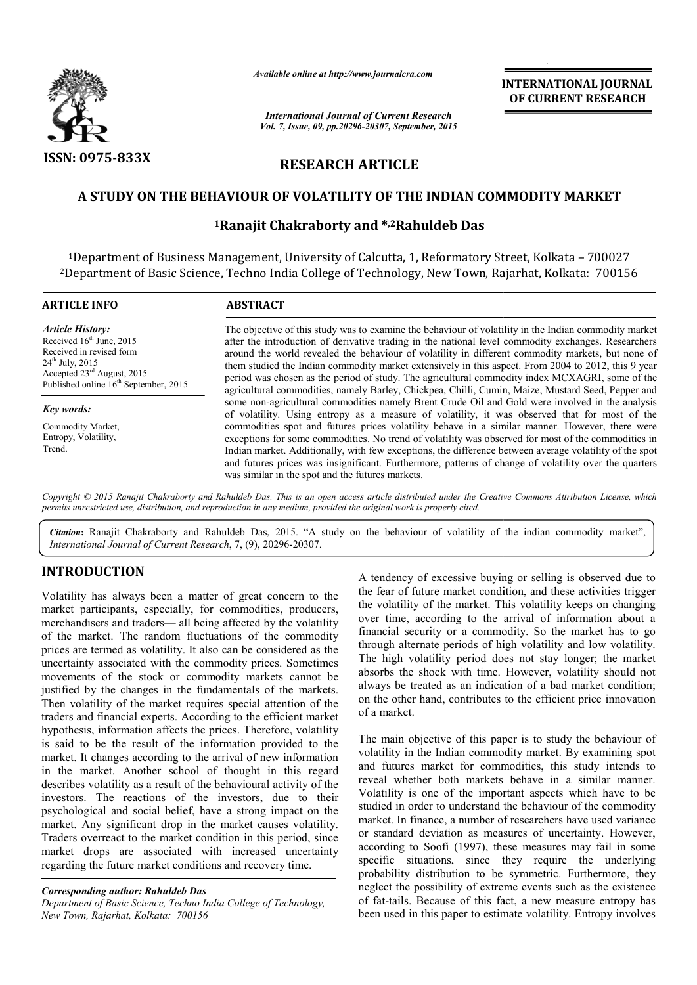

*Available online at http://www.journalcra.com*

# **RESEARCH ARTICLE**

## **A STUDY ON THE BEHAVIOUR OF VOLATILITY OF THE INDIAN COMMODITY MARKET A**

## **1Ranajit Chakraborty Ranajit and \*,2Rahuldeb Das**

|                                                                                                                                                                                                                                                                                                                                                                                                                                                                                                                                                                                                                                                                                                                                                                         | лтанион опине интерметтураниисписот                                                                                                                                                                                                                                                                                                                                                                                                                                                                                                                                                                                              |                                                                                                        | <b>INTERNATIONAL JOURNAL</b><br>OF CURRENT RESEARCH                                                                                                                                                                                                                                                                                                                                                                                                                                                                                                                                                                                                                                                                                                                             |
|-------------------------------------------------------------------------------------------------------------------------------------------------------------------------------------------------------------------------------------------------------------------------------------------------------------------------------------------------------------------------------------------------------------------------------------------------------------------------------------------------------------------------------------------------------------------------------------------------------------------------------------------------------------------------------------------------------------------------------------------------------------------------|----------------------------------------------------------------------------------------------------------------------------------------------------------------------------------------------------------------------------------------------------------------------------------------------------------------------------------------------------------------------------------------------------------------------------------------------------------------------------------------------------------------------------------------------------------------------------------------------------------------------------------|--------------------------------------------------------------------------------------------------------|---------------------------------------------------------------------------------------------------------------------------------------------------------------------------------------------------------------------------------------------------------------------------------------------------------------------------------------------------------------------------------------------------------------------------------------------------------------------------------------------------------------------------------------------------------------------------------------------------------------------------------------------------------------------------------------------------------------------------------------------------------------------------------|
|                                                                                                                                                                                                                                                                                                                                                                                                                                                                                                                                                                                                                                                                                                                                                                         |                                                                                                                                                                                                                                                                                                                                                                                                                                                                                                                                                                                                                                  | <b>International Journal of Current Research</b><br>Vol. 7, Issue, 09, pp.20296-20307, September, 2015 |                                                                                                                                                                                                                                                                                                                                                                                                                                                                                                                                                                                                                                                                                                                                                                                 |
| <b>ISSN: 0975-833X</b>                                                                                                                                                                                                                                                                                                                                                                                                                                                                                                                                                                                                                                                                                                                                                  | <b>RESEARCH ARTICLE</b>                                                                                                                                                                                                                                                                                                                                                                                                                                                                                                                                                                                                          |                                                                                                        |                                                                                                                                                                                                                                                                                                                                                                                                                                                                                                                                                                                                                                                                                                                                                                                 |
|                                                                                                                                                                                                                                                                                                                                                                                                                                                                                                                                                                                                                                                                                                                                                                         |                                                                                                                                                                                                                                                                                                                                                                                                                                                                                                                                                                                                                                  |                                                                                                        | A STUDY ON THE BEHAVIOUR OF VOLATILITY OF THE INDIAN COMMODITY MARKET                                                                                                                                                                                                                                                                                                                                                                                                                                                                                                                                                                                                                                                                                                           |
|                                                                                                                                                                                                                                                                                                                                                                                                                                                                                                                                                                                                                                                                                                                                                                         | <sup>1</sup> Ranajit Chakraborty and *, <sup>2</sup> Rahuldeb Das                                                                                                                                                                                                                                                                                                                                                                                                                                                                                                                                                                |                                                                                                        |                                                                                                                                                                                                                                                                                                                                                                                                                                                                                                                                                                                                                                                                                                                                                                                 |
|                                                                                                                                                                                                                                                                                                                                                                                                                                                                                                                                                                                                                                                                                                                                                                         |                                                                                                                                                                                                                                                                                                                                                                                                                                                                                                                                                                                                                                  |                                                                                                        | <sup>1</sup> Department of Business Management, University of Calcutta, 1, Reformatory Street, Kolkata - 700027<br><sup>2</sup> Department of Basic Science, Techno India College of Technology, New Town, Rajarhat, Kolkata: 700156                                                                                                                                                                                                                                                                                                                                                                                                                                                                                                                                            |
| <b>ARTICLE INFO</b>                                                                                                                                                                                                                                                                                                                                                                                                                                                                                                                                                                                                                                                                                                                                                     | <b>ABSTRACT</b>                                                                                                                                                                                                                                                                                                                                                                                                                                                                                                                                                                                                                  |                                                                                                        |                                                                                                                                                                                                                                                                                                                                                                                                                                                                                                                                                                                                                                                                                                                                                                                 |
| <b>Article History:</b><br>Received 16 <sup>th</sup> June, 2015<br>Received in revised form<br>24 <sup>th</sup> July, 2015<br>Accepted 23rd August, 2015<br>Published online 16 <sup>th</sup> September, 2015                                                                                                                                                                                                                                                                                                                                                                                                                                                                                                                                                           | The objective of this study was to examine the behaviour of volatility in the Indian commodity market<br>after the introduction of derivative trading in the national level commodity exchanges. Researchers<br>around the world revealed the behaviour of volatility in different commodity markets, but none of<br>them studied the Indian commodity market extensively in this aspect. From 2004 to 2012, this 9 year<br>period was chosen as the period of study. The agricultural commodity index MCXAGRI, some of the<br>agricultural commodities, namely Barley, Chickpea, Chilli, Cumin, Maize, Mustard Seed, Pepper and |                                                                                                        |                                                                                                                                                                                                                                                                                                                                                                                                                                                                                                                                                                                                                                                                                                                                                                                 |
| <b>Key words:</b>                                                                                                                                                                                                                                                                                                                                                                                                                                                                                                                                                                                                                                                                                                                                                       |                                                                                                                                                                                                                                                                                                                                                                                                                                                                                                                                                                                                                                  |                                                                                                        | some non-agricultural commodities namely Brent Crude Oil and Gold were involved in the analysis<br>of volatility. Using entropy as a measure of volatility, it was observed that for most of the                                                                                                                                                                                                                                                                                                                                                                                                                                                                                                                                                                                |
| Commodity Market,<br>Entropy, Volatility,<br>Trend.                                                                                                                                                                                                                                                                                                                                                                                                                                                                                                                                                                                                                                                                                                                     | commodities spot and futures prices volatility behave in a similar manner. However, there were<br>exceptions for some commodities. No trend of volatility was observed for most of the commodities in<br>Indian market. Additionally, with few exceptions, the difference between average volatility of the spot<br>and futures prices was insignificant. Furthermore, patterns of change of volatility over the quarters<br>was similar in the spot and the futures markets.                                                                                                                                                    |                                                                                                        |                                                                                                                                                                                                                                                                                                                                                                                                                                                                                                                                                                                                                                                                                                                                                                                 |
| permits unrestricted use, distribution, and reproduction in any medium, provided the original work is properly cited.                                                                                                                                                                                                                                                                                                                                                                                                                                                                                                                                                                                                                                                   |                                                                                                                                                                                                                                                                                                                                                                                                                                                                                                                                                                                                                                  |                                                                                                        | Copyright © 2015 Ranajit Chakraborty and Rahuldeb Das. This is an open access article distributed under the Creative Commons Attribution License, which                                                                                                                                                                                                                                                                                                                                                                                                                                                                                                                                                                                                                         |
| International Journal of Current Research, 7, (9), 20296-20307.                                                                                                                                                                                                                                                                                                                                                                                                                                                                                                                                                                                                                                                                                                         |                                                                                                                                                                                                                                                                                                                                                                                                                                                                                                                                                                                                                                  |                                                                                                        | Citation: Ranajit Chakraborty and Rahuldeb Das, 2015. "A study on the behaviour of volatility of the indian commodity market",                                                                                                                                                                                                                                                                                                                                                                                                                                                                                                                                                                                                                                                  |
| <b>INTRODUCTION</b>                                                                                                                                                                                                                                                                                                                                                                                                                                                                                                                                                                                                                                                                                                                                                     |                                                                                                                                                                                                                                                                                                                                                                                                                                                                                                                                                                                                                                  |                                                                                                        | A tendency of excessive buying or selling is observed due to                                                                                                                                                                                                                                                                                                                                                                                                                                                                                                                                                                                                                                                                                                                    |
| Volatility has always been a matter of great concern to the<br>market participants, especially, for commodities, producers,<br>merchandisers and traders— all being affected by the volatility<br>of the market. The random fluctuations of the commodity<br>prices are termed as volatility. It also can be considered as the<br>uncertainty associated with the commodity prices. Sometimes<br>movements of the stock or commodity markets cannot be<br>justified by the changes in the fundamentals of the markets.<br>Then volatility of the market requires special attention of the<br>traders and financial experts. According to the efficient market                                                                                                           |                                                                                                                                                                                                                                                                                                                                                                                                                                                                                                                                                                                                                                  | of a market.                                                                                           | the fear of future market condition, and these activities trigger<br>the volatility of the market. This volatility keeps on changing<br>over time, according to the arrival of information about a<br>financial security or a commodity. So the market has to go<br>through alternate periods of high volatility and low volatility.<br>The high volatility period does not stay longer; the market<br>absorbs the shock with time. However, volatility should not<br>always be treated as an indication of a bad market condition;<br>on the other hand, contributes to the efficient price innovation                                                                                                                                                                         |
| hypothesis, information affects the prices. Therefore, volatility<br>is said to be the result of the information provided to the<br>market. It changes according to the arrival of new information<br>in the market. Another school of thought in this regard<br>describes volatility as a result of the behavioural activity of the<br>investors. The reactions of the investors, due to their<br>psychological and social belief, have a strong impact on the<br>market. Any significant drop in the market causes volatility.<br>Traders overreact to the market condition in this period, since<br>market drops are associated with increased uncertainty<br>regarding the future market conditions and recovery time.<br><b>Corresponding author: Rahuldeb Das</b> |                                                                                                                                                                                                                                                                                                                                                                                                                                                                                                                                                                                                                                  |                                                                                                        | The main objective of this paper is to study the behaviour of<br>volatility in the Indian commodity market. By examining spot<br>and futures market for commodities, this study intends to<br>reveal whether both markets behave in a similar manner.<br>Volatility is one of the important aspects which have to be<br>studied in order to understand the behaviour of the commodity<br>market. In finance, a number of researchers have used variance<br>or standard deviation as measures of uncertainty. However,<br>according to Soofi (1997), these measures may fail in some<br>specific situations, since they require the underlying<br>probability distribution to be symmetric. Furthermore, they<br>neglect the possibility of extreme events such as the existence |
| Department of Basic Science, Techno India College of Technology,<br>New Town, Rajarhat, Kolkata: 700156                                                                                                                                                                                                                                                                                                                                                                                                                                                                                                                                                                                                                                                                 |                                                                                                                                                                                                                                                                                                                                                                                                                                                                                                                                                                                                                                  |                                                                                                        | of fat-tails. Because of this fact, a new measure entropy has<br>been used in this paper to estimate volatility. Entropy involves                                                                                                                                                                                                                                                                                                                                                                                                                                                                                                                                                                                                                                               |

## **INTRODUCTION**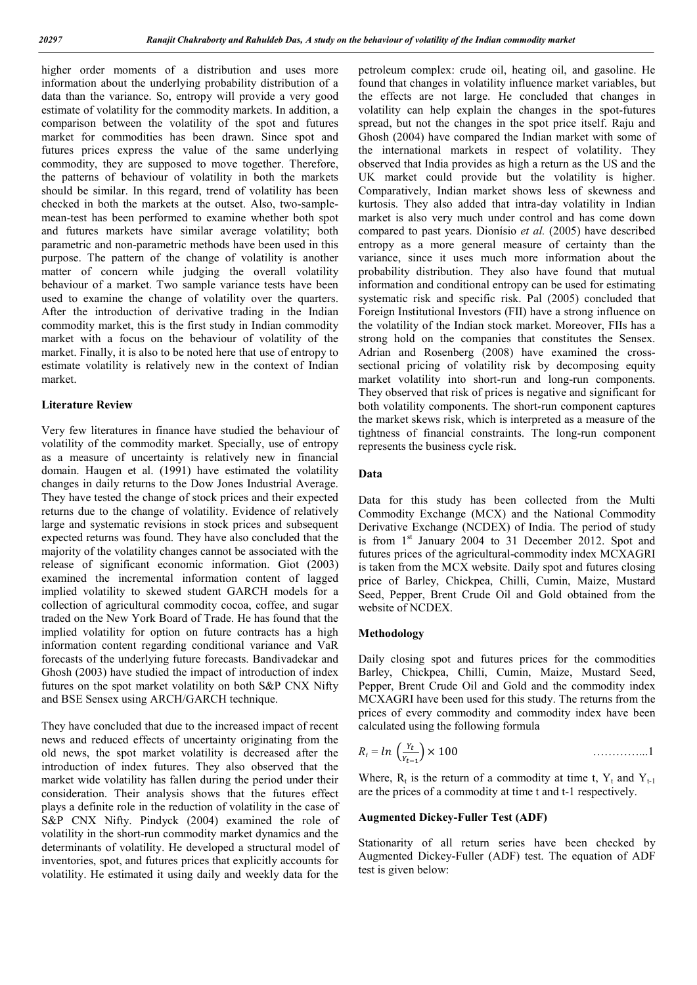higher order moments of a distribution and uses more information about the underlying probability distribution of a data than the variance. So, entropy will provide a very good estimate of volatility for the commodity markets. In addition, a comparison between the volatility of the spot and futures market for commodities has been drawn. Since spot and futures prices express the value of the same underlying commodity, they are supposed to move together. Therefore, the patterns of behaviour of volatility in both the markets should be similar. In this regard, trend of volatility has been checked in both the markets at the outset. Also, two-samplemean-test has been performed to examine whether both spot and futures markets have similar average volatility; both parametric and non-parametric methods have been used in this purpose. The pattern of the change of volatility is another matter of concern while judging the overall volatility behaviour of a market. Two sample variance tests have been used to examine the change of volatility over the quarters. After the introduction of derivative trading in the Indian commodity market, this is the first study in Indian commodity market with a focus on the behaviour of volatility of the market. Finally, it is also to be noted here that use of entropy to estimate volatility is relatively new in the context of Indian market.

### **Literature Review**

Very few literatures in finance have studied the behaviour of volatility of the commodity market. Specially, use of entropy as a measure of uncertainty is relatively new in financial domain. Haugen et al. (1991) have estimated the volatility changes in daily returns to the Dow Jones Industrial Average. They have tested the change of stock prices and their expected returns due to the change of volatility. Evidence of relatively large and systematic revisions in stock prices and subsequent expected returns was found. They have also concluded that the majority of the volatility changes cannot be associated with the release of significant economic information. Giot (2003) examined the incremental information content of lagged implied volatility to skewed student GARCH models for a collection of agricultural commodity cocoa, coffee, and sugar traded on the New York Board of Trade. He has found that the implied volatility for option on future contracts has a high information content regarding conditional variance and VaR forecasts of the underlying future forecasts. Bandivadekar and Ghosh (2003) have studied the impact of introduction of index futures on the spot market volatility on both S&P CNX Nifty and BSE Sensex using ARCH/GARCH technique.

They have concluded that due to the increased impact of recent news and reduced effects of uncertainty originating from the old news, the spot market volatility is decreased after the introduction of index futures. They also observed that the market wide volatility has fallen during the period under their consideration. Their analysis shows that the futures effect plays a definite role in the reduction of volatility in the case of S&P CNX Nifty. Pindyck (2004) examined the role of volatility in the short-run commodity market dynamics and the determinants of volatility. He developed a structural model of inventories, spot, and futures prices that explicitly accounts for volatility. He estimated it using daily and weekly data for the

petroleum complex: crude oil, heating oil, and gasoline. He found that changes in volatility influence market variables, but the effects are not large. He concluded that changes in volatility can help explain the changes in the spot-futures spread, but not the changes in the spot price itself. Raju and Ghosh (2004) have compared the Indian market with some of the international markets in respect of volatility. They observed that India provides as high a return as the US and the UK market could provide but the volatility is higher. Comparatively, Indian market shows less of skewness and kurtosis. They also added that intra-day volatility in Indian market is also very much under control and has come down compared to past years. Dionísio *et al.* (2005) have described entropy as a more general measure of certainty than the variance, since it uses much more information about the probability distribution. They also have found that mutual information and conditional entropy can be used for estimating systematic risk and specific risk. Pal (2005) concluded that Foreign Institutional Investors (FII) have a strong influence on the volatility of the Indian stock market. Moreover, FIIs has a strong hold on the companies that constitutes the Sensex. Adrian and Rosenberg (2008) have examined the crosssectional pricing of volatility risk by decomposing equity market volatility into short-run and long-run components. They observed that risk of prices is negative and significant for both volatility components. The short-run component captures the market skews risk, which is interpreted as a measure of the tightness of financial constraints. The long-run component represents the business cycle risk.

#### **Data**

Data for this study has been collected from the Multi Commodity Exchange (MCX) and the National Commodity Derivative Exchange (NCDEX) of India. The period of study is from 1<sup>st</sup> January 2004 to 31 December 2012. Spot and futures prices of the agricultural-commodity index MCXAGRI is taken from the MCX website. Daily spot and futures closing price of Barley, Chickpea, Chilli, Cumin, Maize, Mustard Seed, Pepper, Brent Crude Oil and Gold obtained from the website of NCDEX.

#### **Methodology**

Daily closing spot and futures prices for the commodities Barley, Chickpea, Chilli, Cumin, Maize, Mustard Seed, Pepper, Brent Crude Oil and Gold and the commodity index MCXAGRI have been used for this study. The returns from the prices of every commodity and commodity index have been calculated using the following formula

$$
R_t = \ln\left(\frac{Y_t}{Y_{t-1}}\right) \times 100 \qquad \qquad \ldots \ldots \ldots \ldots \ldots \ldots
$$

Where,  $R_t$  is the return of a commodity at time t,  $Y_t$  and  $Y_{t-1}$ are the prices of a commodity at time t and t-1 respectively.

#### **Augmented Dickey-Fuller Test (ADF)**

Stationarity of all return series have been checked by Augmented Dickey-Fuller (ADF) test. The equation of ADF test is given below: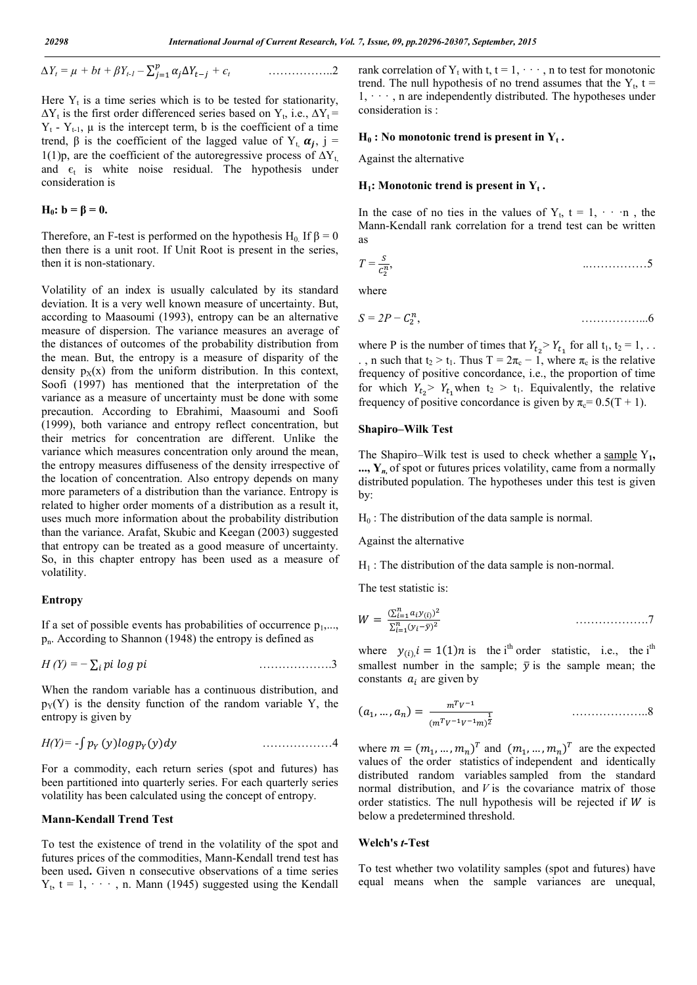$$
\Delta Y_t = \mu + bt + \beta Y_{t-1} - \sum_{j=1}^p \alpha_j \Delta Y_{t-j} + \epsilon_t \qquad \qquad \ldots \ldots \ldots \ldots \ldots \ldots
$$

Here  $Y_t$  is a time series which is to be tested for stationarity,  $\Delta Y_t$  is the first order differenced series based on Y<sub>t</sub>, i.e.,  $\Delta Y_t$  =  $Y_t$  -  $Y_{t-1}$ ,  $\mu$  is the intercept term, b is the coefficient of a time trend,  $\beta$  is the coefficient of the lagged value of Y<sub>t,</sub>  $\alpha_i$ , j = 1(1)p, are the coefficient of the autoregressive process of  $\Delta Y_t$ , and  $\epsilon_t$  is white noise residual. The hypothesis under consideration is

$$
H_0: b = \beta = 0.
$$

Therefore, an F-test is performed on the hypothesis H<sub>0</sub>. If  $\beta = 0$ then there is a unit root. If Unit Root is present in the series, then it is non-stationary.

Volatility of an index is usually calculated by its standard deviation. It is a very well known measure of uncertainty. But, according to Maasoumi (1993), entropy can be an alternative measure of dispersion. The variance measures an average of the distances of outcomes of the probability distribution from the mean. But, the entropy is a measure of disparity of the density  $p_X(x)$  from the uniform distribution. In this context, Soofi (1997) has mentioned that the interpretation of the variance as a measure of uncertainty must be done with some precaution. According to Ebrahimi, Maasoumi and Soofi (1999), both variance and entropy reflect concentration, but their metrics for concentration are different. Unlike the variance which measures concentration only around the mean, the entropy measures diffuseness of the density irrespective of the location of concentration. Also entropy depends on many more parameters of a distribution than the variance. Entropy is related to higher order moments of a distribution as a result it, uses much more information about the probability distribution than the variance. Arafat, Skubic and Keegan (2003) suggested that entropy can be treated as a good measure of uncertainty. So, in this chapter entropy has been used as a measure of volatility.

#### **Entropy**

If a set of possible events has probabilities of occurrence  $p_1, \ldots, p_k$  $p_n$ . According to Shannon (1948) the entropy is defined as

$$
H(Y) = -\sum_{i} p_i \log p_i \tag{3}
$$

When the random variable has a continuous distribution, and  $p_Y(Y)$  is the density function of the random variable Y, the entropy is given by

$$
H(Y) = -\int p_Y(y) \log p_Y(y) dy
$$

For a commodity, each return series (spot and futures) has been partitioned into quarterly series. For each quarterly series volatility has been calculated using the concept of entropy.

#### **Mann-Kendall Trend Test**

To test the existence of trend in the volatility of the spot and futures prices of the commodities, Mann-Kendall trend test has been used**.** Given n consecutive observations of a time series  $Y_t$ , t = 1,  $\cdots$ , n. Mann (1945) suggested using the Kendall

rank correlation of  $Y_t$  with t,  $t = 1, \dots, n$  to test for monotonic trend. The null hypothesis of no trend assumes that the  $Y_t$ , t =  $1, \dots$ , n are independently distributed. The hypotheses under consideration is :

#### $H_0$ : No monotonic trend is present in  $Y_t$ .

Against the alternative

#### $H_1$ : Monotonic trend is present in  $Y_t$ .

In the case of no ties in the values of  $Y_t$ ,  $t = 1, \dots, n$ , the Mann-Kendall rank correlation for a trend test can be written as

*T =* , ..……………5

where

$$
S=2P-C_2^n,
$$

where P is the number of times that  $Y_{t_2} > Y_{t_1}$  for all  $t_1, t_2 = 1, ...$ ., n such that  $t_2 > t_1$ . Thus T =  $2\pi_c - 1$ , where  $\pi_c$  is the relative frequency of positive concordance, i.e., the proportion of time for which  $Y_{t_2} > Y_{t_1}$  when  $t_2 > t_1$ . Equivalently, the relative frequency of positive concordance is given by  $\pi_c = 0.5(T + 1)$ .

#### **Shapiro–Wilk Test**

The Shapiro–Wilk test is used to check whether a sample Y<sub>1</sub>, **..., Y***n,* of spot or futures prices volatility, came from a normally distributed population. The hypotheses under this test is given by:

 $H_0$ : The distribution of the data sample is normal.

Against the alternative

 $H_1$ : The distribution of the data sample is non-normal.

The test statistic is:

$$
W = \frac{(\sum_{i=1}^{n} a_i y_{(i)})^2}{\sum_{i=1}^{n} (y_i - \bar{y})^2}
$$

where  $y_{(i)}$ ,  $i = 1(1)n$  is the i<sup>th</sup> order statistic, i.e., the i<sup>th</sup> smallest number in the sample;  $\bar{y}$  is the sample mean; the constants  $a_i$  are given by

(, … , ) <sup>=</sup> () ………………..8

where  $m = (m_1, \dots, m_n)^T$  and  $(m_1, \dots, m_n)^T$  are the expected values of the order statistics of independent and identically distributed random variables sampled from the standard normal distribution, and *V* is the covariance matrix of those order statistics. The null hypothesis will be rejected if  $W$  is below a predetermined threshold.

#### **Welch's** *t***-Test**

To test whether two volatility samples (spot and futures) have equal means when the sample variances are unequal,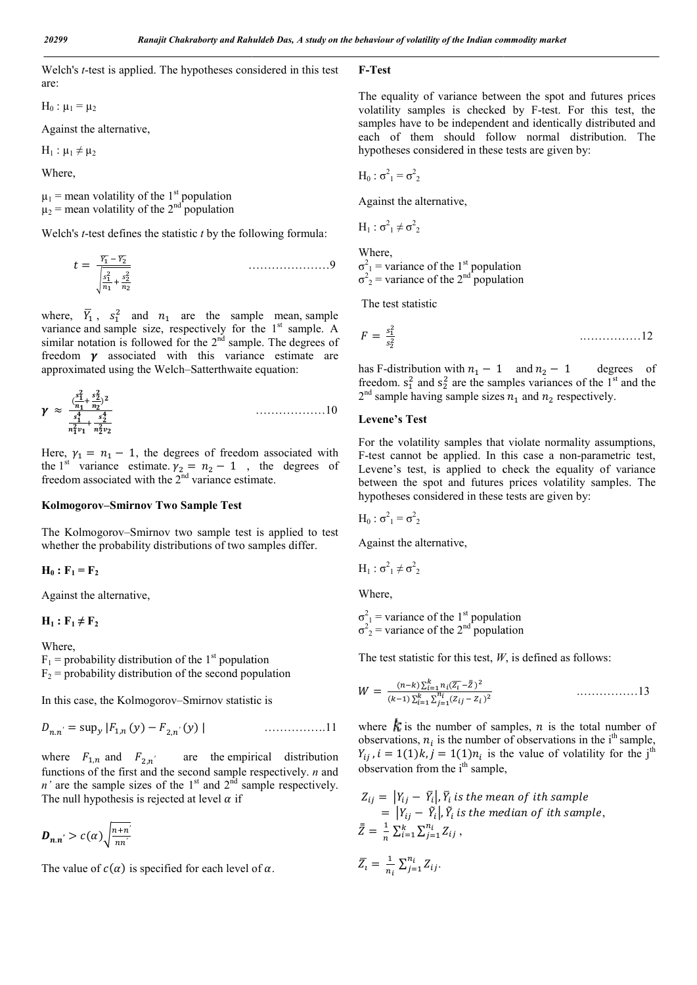**F-Test**

Welch's *t*-test is applied. The hypotheses considered in this test are: test is applied. The hypotheses considered in this tes<br>  $\frac{1}{2}$ <br>
a e alternative,<br>  $\frac{1}{2}$ <br>
a volatility of the 1<sup>st</sup> population<br>
volatility of the 2<sup>nd</sup> population<br>
test defines the statistic *t* by the following for

 $H_0$ :  $\mu_1 = \mu_2$ 

Against the alternative,

 $H_1$  :  $\mu_1 \neq \mu_2$ 

Where,

 $\mu_1$  = mean volatility of the 1<sup>st</sup> population  $\mu_2$  = mean volatility of the 2<sup>nd</sup> population

Welch's *t*-test defines the statistic *t* by the following formula:

$$
t = \frac{\overline{Y_1} - \overline{Y_2}}{\sqrt{\frac{s_1^2}{n_1} + \frac{s_2^2}{n_2}}}
$$
 (3)

where,  $\overline{Y}_1$ ,  $s_1^2$  and  $n_1$  are the sample mean, sample variance and sample size, respectively for the  $1<sup>st</sup>$  sample. A similar notation is followed for the  $2<sup>nd</sup>$  sample. The degrees of freedom  $\gamma$  associated with this variance estimate are approximated using the Welch–Satterthwaite equation Satterthwaite equation:

 <sup>≈</sup> ( ) ………………10

Here,  $\gamma_1 = n_1 - 1$ , the degrees of freedom associated with the 1<sup>st</sup> variance estimate.  $y_2 = n_2 - 1$ , the degrees of freedom associated with the  $2<sup>nd</sup>$  variance estimate.

#### **Kolmogorov–Smirnov Two Sample Test**

The Kolmogorov–Smirnov two sample test is applied to test whether the probability distributions of two samples differ.

$$
\mathbf{H}_0 : \mathbf{F}_1 = \mathbf{F}_2
$$

Against the alternative,

 $H_1$ :  $F_1 \neq F_2$ 

Where,

 $F_1$  = probability distribution of the 1<sup>st</sup> population  $F<sub>2</sub>$  = probability distribution of the second population

In this case, the Kolmogorov-Smirnov statistic is  

$$
D_{n.n'} = \sup_{y} |F_{1,n}(y) - F_{2,n'}(y)|
$$
............11

where  $F_{1,n}$  and  $F_{2,n'}$  are the empirical distribution functions of the first and the second sample respectively. *n* and *n'* are the sample sizes of the  $1<sup>st</sup>$  and  $2<sup>nd</sup>$  sample respectively. The null hypothesis is rejected at level  $\alpha$  if

$$
D_{n.n'} > c(\alpha) \sqrt{\frac{n+n'}{nn'}}
$$

The value of  $c(\alpha)$  is specified for each level of  $\alpha$ .

The equality of variance between the spot and futures prices The equality of variance between the spot and futures prices volatility samples is checked by F-test. For this test, the samples have to be independent and identically distributed and each of them should follow normal distribution. The hypotheses considered in these tests are given by:

 $H_0: σ<sup>2</sup><sub>1</sub> = σ<sup>2</sup><sub>2</sub>$ 

Against the alternative,

$$
H_1: \sigma^2_1 \neq \sigma^2_2
$$

Where,  $\sigma_{1}^{2}$  = variance of the 1<sup>st</sup> population  $\sigma^2$ <sub>2</sub> = variance of the 2<sup>nd</sup> population

The test statistic

$$
\sigma_1^2
$$
 = variance of the 1<sup>st</sup> population  
\n $\sigma_2^2$  = variance of the 2<sup>nd</sup> population  
\nThe test statistic  
\n $F = \frac{s_1^2}{s_2^2}$ 

has F-distribution with  $n_1 - 1$  and  $n_2 - 1$  degrees of freedom.  $s_1^2$  and  $s_2^2$  are the samples variances of the 1<sup>st</sup> and the  $2<sup>nd</sup>$  sample having sample sizes  $n_1$  and  $n_2$  respectively.

#### **Levene's Test**

For the volatility samples that violate normality assumptions, For the volatility samples that violate normality assumptions, F-test cannot be applied. In this case a non-parametric test, Levene's test, is applied to check the equality of variance Levene's test, is applied to check the equality of variance between the spot and futures prices volatility samples. The hypotheses considered in these tests are given by:

$$
H_0: \sigma^2_1 = \sigma^2_2
$$

Against the alternative,

$$
H_1: \sigma^2_1 \neq \sigma^2_2
$$

Where,

 $\sigma_{1}^{2}$  = variance of the 1<sup>st</sup> population  $\sigma^2$ <sub>2</sub> = variance of the 2<sup>nd</sup> population  $\sigma_1^2$  = variance of the 1<sup>st</sup> population<br>  $\sigma_2^2$  = variance of the 2<sup>nd</sup> population<br>
The test statistic for this test, *W*, is defined as follows:

$$
W = \frac{(n-k)\sum_{i=1}^{k} n_i (\overline{z_i} - \overline{z})^2}{(k-1)\sum_{i=1}^{k} \sum_{j=1}^{n_i} (z_{ij} - z_i)^2}
$$
............13

where  $\boldsymbol{k}$  is the number of samples, *n* is the total number of observations,  $n_i$  is the number of observations in the i<sup>th</sup> sample,  $Y_{ij}$ ,  $i = 1(1)k$ ,  $j = 1(1)n_i$  is the value of volatility for the j<sup>th</sup> observation from the i<sup>th</sup> sample,

$$
Z_{ij} = |Y_{ij} - \bar{Y}_i|, \bar{Y}_i \text{ is the mean of ith sample}
$$
  
=  $|Y_{ij} - \tilde{Y}_i|, \tilde{Y}_i \text{ is the median of ith sample},$   

$$
\bar{Z} = \frac{1}{n} \sum_{i=1}^k \sum_{j=1}^{n_i} Z_{ij},
$$

$$
\overline{Z}_i = \frac{1}{n_i} \sum_{j=1}^{n_i} Z_{ij}.
$$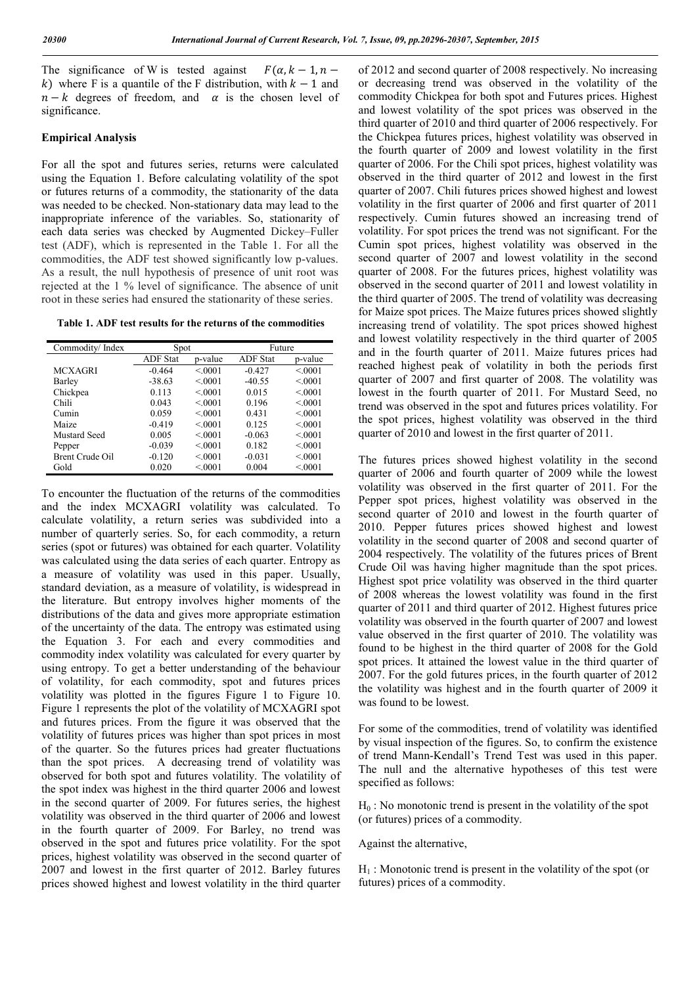The significance of W is tested against  $F(\alpha, k - 1, n - 1)$ k) where F is a quantile of the F distribution, with  $k - 1$  and  $n - k$  degrees of freedom, and  $\alpha$  is the chosen level of significance.

#### **Empirical Analysis**

For all the spot and futures series, returns were calculated using the Equation 1. Before calculating volatility of the spot or futures returns of a commodity, the stationarity of the data was needed to be checked. Non-stationary data may lead to the inappropriate inference of the variables. So, stationarity of each data series was checked by Augmented Dickey–Fuller test (ADF), which is represented in the Table 1. For all the commodities, the ADF test showed significantly low p-values. As a result, the null hypothesis of presence of unit root was rejected at the 1 % level of significance. The absence of unit root in these series had ensured the stationarity of these series.

**Table 1. ADF test results for the returns of the commodities**

| Commodity/Index | Spot            |         | Future          |         |
|-----------------|-----------------|---------|-----------------|---------|
|                 | <b>ADF</b> Stat | p-value | <b>ADF</b> Stat | p-value |
| <b>MCXAGRI</b>  | $-0.464$        | < 0.001 | $-0.427$        | < 0.001 |
| Barley          | $-38.63$        | < 0.001 | $-40.55$        | < 0.001 |
| Chickpea        | 0.113           | < 0.001 | 0.015           | < 0001  |
| Chili           | 0.043           | < 0.001 | 0.196           | < 0.001 |
| Cumin           | 0.059           | < 0.001 | 0.431           | < 0.001 |
| Maize           | $-0.419$        | < 0.001 | 0.125           | < 0.001 |
| Mustard Seed    | 0.005           | < 0.001 | $-0.063$        | < 0.001 |
| Pepper          | $-0.039$        | < 0.001 | 0.182           | < 0.001 |
| Brent Crude Oil | $-0.120$        | < 0001  | $-0.031$        | < 0001  |
| Gold            | 0.020           | < 0001  | 0.004           | < 0001  |

To encounter the fluctuation of the returns of the commodities and the index MCXAGRI volatility was calculated. To calculate volatility, a return series was subdivided into a number of quarterly series. So, for each commodity, a return series (spot or futures) was obtained for each quarter. Volatility was calculated using the data series of each quarter. Entropy as a measure of volatility was used in this paper. Usually, standard deviation, as a measure of volatility, is widespread in the literature. But entropy involves higher moments of the distributions of the data and gives more appropriate estimation of the uncertainty of the data. The entropy was estimated using the Equation 3. For each and every commodities and commodity index volatility was calculated for every quarter by using entropy. To get a better understanding of the behaviour of volatility, for each commodity, spot and futures prices volatility was plotted in the figures Figure 1 to Figure 10. Figure 1 represents the plot of the volatility of MCXAGRI spot and futures prices. From the figure it was observed that the volatility of futures prices was higher than spot prices in most of the quarter. So the futures prices had greater fluctuations than the spot prices. A decreasing trend of volatility was observed for both spot and futures volatility. The volatility of the spot index was highest in the third quarter 2006 and lowest in the second quarter of 2009. For futures series, the highest volatility was observed in the third quarter of 2006 and lowest in the fourth quarter of 2009. For Barley, no trend was observed in the spot and futures price volatility. For the spot prices, highest volatility was observed in the second quarter of 2007 and lowest in the first quarter of 2012. Barley futures prices showed highest and lowest volatility in the third quarter

of 2012 and second quarter of 2008 respectively. No increasing or decreasing trend was observed in the volatility of the commodity Chickpea for both spot and Futures prices. Highest and lowest volatility of the spot prices was observed in the third quarter of 2010 and third quarter of 2006 respectively. For the Chickpea futures prices, highest volatility was observed in the fourth quarter of 2009 and lowest volatility in the first quarter of 2006. For the Chili spot prices, highest volatility was observed in the third quarter of 2012 and lowest in the first quarter of 2007. Chili futures prices showed highest and lowest volatility in the first quarter of 2006 and first quarter of 2011 respectively. Cumin futures showed an increasing trend of volatility. For spot prices the trend was not significant. For the Cumin spot prices, highest volatility was observed in the second quarter of 2007 and lowest volatility in the second quarter of 2008. For the futures prices, highest volatility was observed in the second quarter of 2011 and lowest volatility in the third quarter of 2005. The trend of volatility was decreasing for Maize spot prices. The Maize futures prices showed slightly increasing trend of volatility. The spot prices showed highest and lowest volatility respectively in the third quarter of 2005 and in the fourth quarter of 2011. Maize futures prices had reached highest peak of volatility in both the periods first quarter of 2007 and first quarter of 2008. The volatility was lowest in the fourth quarter of 2011. For Mustard Seed, no trend was observed in the spot and futures prices volatility. For the spot prices, highest volatility was observed in the third quarter of 2010 and lowest in the first quarter of 2011.

The futures prices showed highest volatility in the second quarter of 2006 and fourth quarter of 2009 while the lowest volatility was observed in the first quarter of 2011. For the Pepper spot prices, highest volatility was observed in the second quarter of 2010 and lowest in the fourth quarter of 2010. Pepper futures prices showed highest and lowest volatility in the second quarter of 2008 and second quarter of 2004 respectively. The volatility of the futures prices of Brent Crude Oil was having higher magnitude than the spot prices. Highest spot price volatility was observed in the third quarter of 2008 whereas the lowest volatility was found in the first quarter of 2011 and third quarter of 2012. Highest futures price volatility was observed in the fourth quarter of 2007 and lowest value observed in the first quarter of 2010. The volatility was found to be highest in the third quarter of 2008 for the Gold spot prices. It attained the lowest value in the third quarter of 2007. For the gold futures prices, in the fourth quarter of 2012 the volatility was highest and in the fourth quarter of 2009 it was found to be lowest.

For some of the commodities, trend of volatility was identified by visual inspection of the figures. So, to confirm the existence of trend Mann-Kendall's Trend Test was used in this paper. The null and the alternative hypotheses of this test were specified as follows:

 $H_0$ : No monotonic trend is present in the volatility of the spot (or futures) prices of a commodity.

Against the alternative,

 $H_1$ : Monotonic trend is present in the volatility of the spot (or futures) prices of a commodity.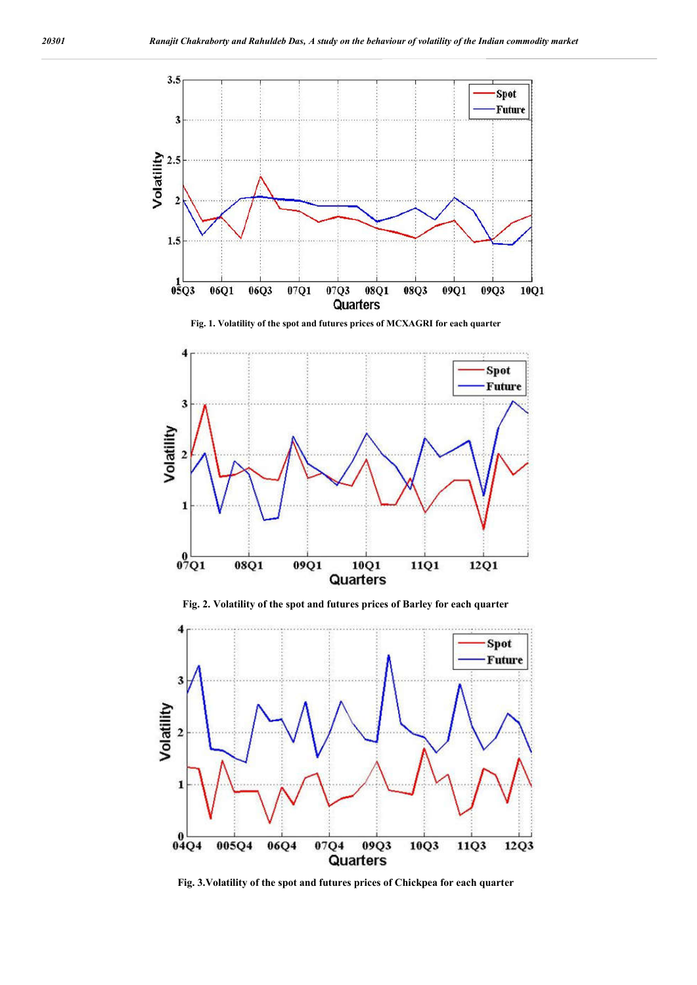

**Fig. 2. Volatility of the spot and futures prices of Barley for each quarter**



**Fig. 3.Volatility of the spot and futures prices of Chickpea for each quarter**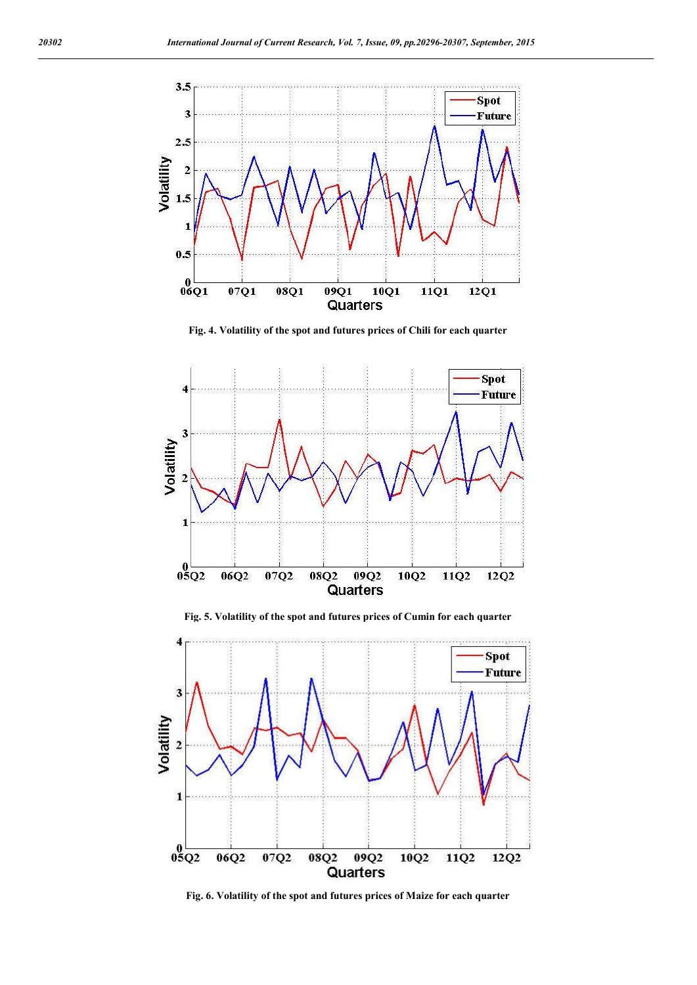

**Fig. 4. Volatility of the spot and futures prices of Chili for each quarter**



**Fig. 5. Volatility of the spot and futures prices of Cumin for each quarter**



**Fig. 6. Volatility of the spot and futures prices of Maize for each quarter**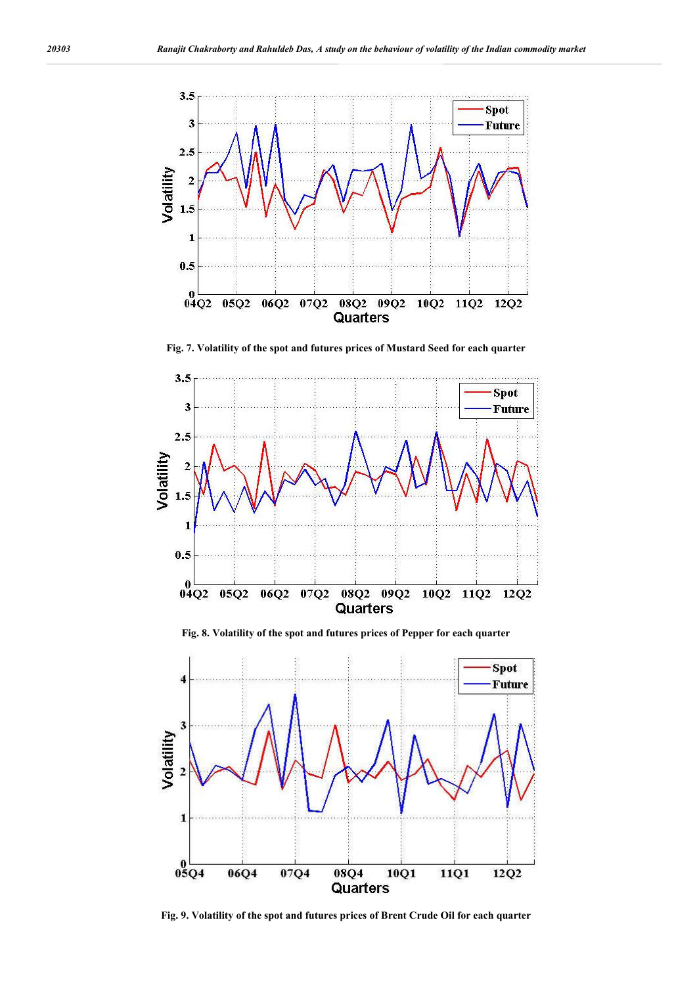

**Fig. 7. Volatility of the spot and futures prices of Mustard Seed for each quarter**



**Fig. 8. Volatility of the spot and futures prices of Pepper for each quarter**



**Fig. 9. Volatility of the spot and futures prices of Brent Crude Oil for each quarter**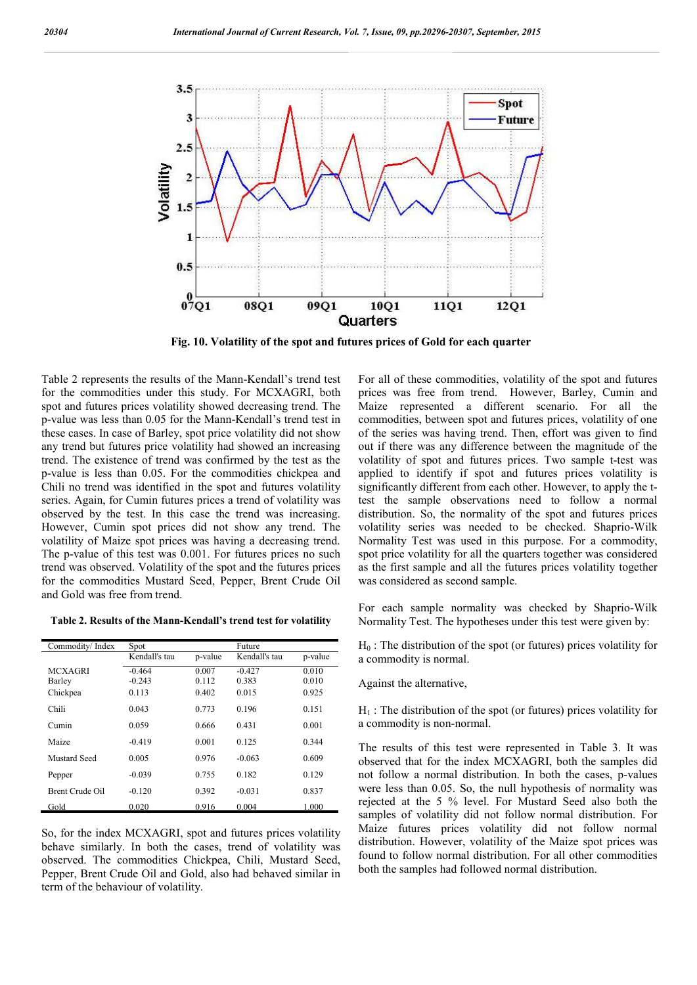

**Fig. 10. Volatility of the spot and futures prices of Gold for each quarter**

Table 2 represents the results of the Mann-Kendall's trend test for the commodities under this study. For MCXAGRI, both spot and futures prices volatility showed decreasing trend. The p-value was less than 0.05 for the Mann-Kendall's trend test in these cases. In case of Barley, spot price volatility did not show any trend but futures price volatility had showed an increasing trend. The existence of trend was confirmed by the test as the p-value is less than 0.05. For the commodities chickpea and Chili no trend was identified in the spot and futures volatility series. Again, for Cumin futures prices a trend of volatility was observed by the test. In this case the trend was increasing. However, Cumin spot prices did not show any trend. The volatility of Maize spot prices was having a decreasing trend. The p-value of this test was 0.001. For futures prices no such trend was observed. Volatility of the spot and the futures prices for the commodities Mustard Seed, Pepper, Brent Crude Oil and Gold was free from trend.

**Table 2. Results of the Mann-Kendall's trend test for volatility** 

| Commodity/Index | Spot          |         | Future        |         |
|-----------------|---------------|---------|---------------|---------|
|                 | Kendall's tau | p-value | Kendall's tau | p-value |
| <b>MCXAGRI</b>  | $-0.464$      | 0.007   | $-0.427$      | 0.010   |
| Barley          | $-0.243$      | 0.112   | 0.383         | 0.010   |
| Chickpea        | 0.113         | 0.402   | 0.015         | 0.925   |
| Chili           | 0.043         | 0.773   | 0.196         | 0.151   |
| Cumin           | 0.059         | 0.666   | 0.431         | 0.001   |
| Maize           | $-0.419$      | 0.001   | 0.125         | 0.344   |
| Mustard Seed    | 0.005         | 0.976   | $-0.063$      | 0.609   |
| Pepper          | $-0.039$      | 0.755   | 0.182         | 0.129   |
| Brent Crude Oil | $-0.120$      | 0.392   | $-0.031$      | 0.837   |
| Gold            | 0.020         | 0.916   | 0.004         | 1.000   |

So, for the index MCXAGRI, spot and futures prices volatility behave similarly. In both the cases, trend of volatility was observed. The commodities Chickpea, Chili, Mustard Seed, Pepper, Brent Crude Oil and Gold, also had behaved similar in term of the behaviour of volatility.

For all of these commodities, volatility of the spot and futures prices was free from trend. However, Barley, Cumin and Maize represented a different scenario. For all the commodities, between spot and futures prices, volatility of one of the series was having trend. Then, effort was given to find out if there was any difference between the magnitude of the volatility of spot and futures prices. Two sample t-test was applied to identify if spot and futures prices volatility is significantly different from each other. However, to apply the ttest the sample observations need to follow a normal distribution. So, the normality of the spot and futures prices volatility series was needed to be checked. Shaprio-Wilk Normality Test was used in this purpose. For a commodity, spot price volatility for all the quarters together was considered as the first sample and all the futures prices volatility together was considered as second sample.

For each sample normality was checked by Shaprio-Wilk Normality Test. The hypotheses under this test were given by:

 $H_0$ : The distribution of the spot (or futures) prices volatility for a commodity is normal.

Against the alternative,

 $H<sub>1</sub>$ : The distribution of the spot (or futures) prices volatility for a commodity is non-normal.

The results of this test were represented in Table 3. It was observed that for the index MCXAGRI, both the samples did not follow a normal distribution. In both the cases, p-values were less than 0.05. So, the null hypothesis of normality was rejected at the 5 % level. For Mustard Seed also both the samples of volatility did not follow normal distribution. For Maize futures prices volatility did not follow normal distribution. However, volatility of the Maize spot prices was found to follow normal distribution. For all other commodities both the samples had followed normal distribution.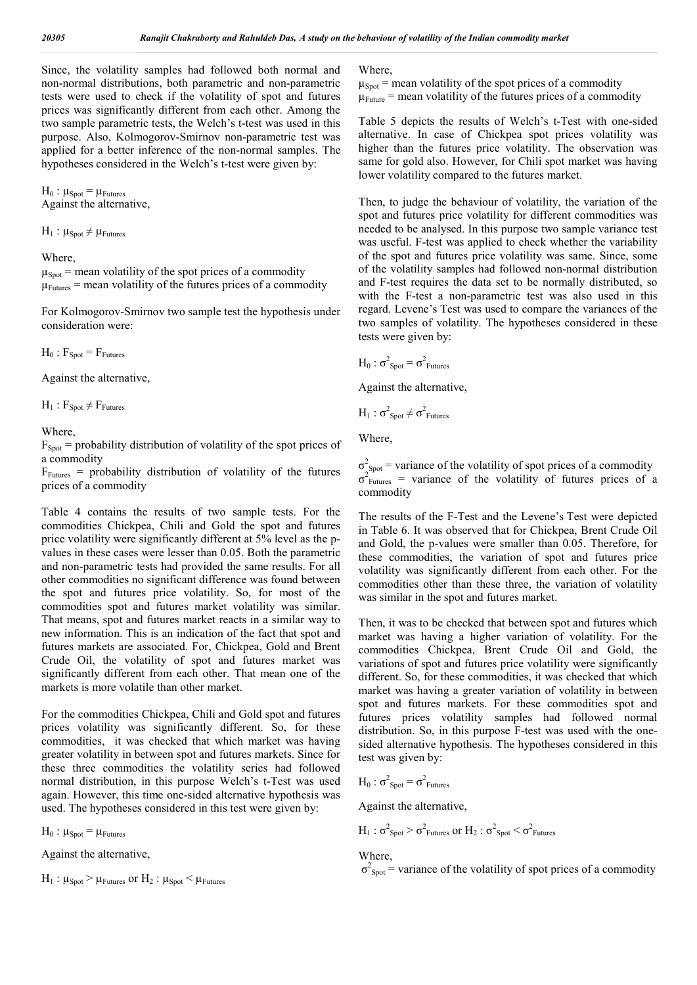Since, the volatility samples had followed both normal and non-normal distributions, both parametric and non-parametric tests were used to check if the volatility of spot and futures prices was significantly different from each other. Among the two sample parametric tests, the Welch's t-test was used in this purpose. Also, Kolmogorov-Smirnov non-parametric test was applied for a better inference of the non-normal samples. The hypotheses considered in the Welch's t-test were given by:

 $H_0$ :  $\mu_{Spot}$  =  $\mu_{Futures}$ Against the alternative,

 $H_1$ :  $\mu_{Spot} \neq \mu_{Futures}$ 

#### Where,

 $\mu_{Spot}$  = mean volatility of the spot prices of a commodity  $\mu_{\text{Futures}}$  = mean volatility of the futures prices of a commodity

For Kolmogorov-Smirnov two sample test the hypothesis under consideration were:

 $H_0$ :  $F_{\text{Spot}} = F_{\text{Futures}}$ 

Against the alternative,

 $H_1$ :  $F_{\text{Spot}} \neq F_{\text{Futures}}$ 

**Where** 

 $F<sub>Spot</sub>$  = probability distribution of volatility of the spot prices of a commodity

 $F_{\text{Futures}}$  = probability distribution of volatility of the futures prices of a commodity

Table 4 contains the results of two sample tests. For the commodities Chickpea, Chili and Gold the spot and futures price volatility were significantly different at 5% level as the pvalues in these cases were lesser than 0.05. Both the parametric and non-parametric tests had provided the same results. For all other commodities no significant difference was found between the spot and futures price volatility. So, for most of the commodities spot and futures market volatility was similar. That means, spot and futures market reacts in a similar way to new information. This is an indication of the fact that spot and futures markets are associated. For, Chickpea, Gold and Brent Crude Oil, the volatility of spot and futures market was significantly different from each other. That mean one of the markets is more volatile than other market.

For the commodities Chickpea, Chili and Gold spot and futures prices volatility was significantly different. So, for these commodities, it was checked that which market was having greater volatility in between spot and futures markets. Since for these three commodities the volatility series had followed normal distribution, in this purpose Welch's t-Test was used again. However, this time one-sided alternative hypothesis was used. The hypotheses considered in this test were given by:

 $H_0$ :  $\mu_{Spot} = \mu_{Futures}$ 

Against the alternative,

 $H_1$ :  $\mu_{\text{Spot}} > \mu_{\text{Futures}}$  or  $H_2$ :  $\mu_{\text{Spot}} < \mu_{\text{Futures}}$ 

#### Where,

 $\mu_{Spot}$  = mean volatility of the spot prices of a commodity  $\mu_{\text{Future}}$  = mean volatility of the futures prices of a commodity

Table 5 depicts the results of Welch's t-Test with one-sided alternative. In case of Chickpea spot prices volatility was higher than the futures price volatility. The observation was same for gold also. However, for Chili spot market was having lower volatility compared to the futures market.

Then, to judge the behaviour of volatility, the variation of the spot and futures price volatility for different commodities was needed to be analysed. In this purpose two sample variance test was useful. F-test was applied to check whether the variability of the spot and futures price volatility was same. Since, some of the volatility samples had followed non-normal distribution and F-test requires the data set to be normally distributed, so with the F-test a non-parametric test was also used in this regard. Levene's Test was used to compare the variances of the two samples of volatility. The hypotheses considered in these tests were given by:

$$
H_0
$$
:  $\sigma^2_{Spot} = \sigma^2_{Futures}$ 

Against the alternative,

$$
H_1: \sigma^2_{Spot} \neq \sigma^2_{Futures}
$$

Where,

 $\sigma_{\text{Spot}}^2$  = variance of the volatility of spot prices of a commodity  $\sigma_{\text{Futures}}^2$  = variance of the volatility of futures prices of a commodity

The results of the F-Test and the Levene's Test were depicted in Table 6. It was observed that for Chickpea, Brent Crude Oil and Gold, the p-values were smaller than 0.05. Therefore, for these commodities, the variation of spot and futures price volatility was significantly different from each other. For the commodities other than these three, the variation of volatility was similar in the spot and futures market.

Then, it was to be checked that between spot and futures which market was having a higher variation of volatility. For the commodities Chickpea, Brent Crude Oil and Gold, the variations of spot and futures price volatility were significantly different. So, for these commodities, it was checked that which market was having a greater variation of volatility in between spot and futures markets. For these commodities spot and futures prices volatility samples had followed normal distribution. So, in this purpose F-test was used with the onesided alternative hypothesis. The hypotheses considered in this test was given by:

$$
H_0
$$
:  $\sigma^2_{\text{Spot}} = \sigma^2_{\text{Futures}}$ 

Against the alternative,

$$
H_1
$$
:  $\sigma^2_{Spot} > \sigma^2_{Futures}$  or  $H_2$ :  $\sigma^2_{Spot} < \sigma^2_{Futures}$ 

#### Where,

 $\sigma^2$ <sub>Spot</sub> = variance of the volatility of spot prices of a commodity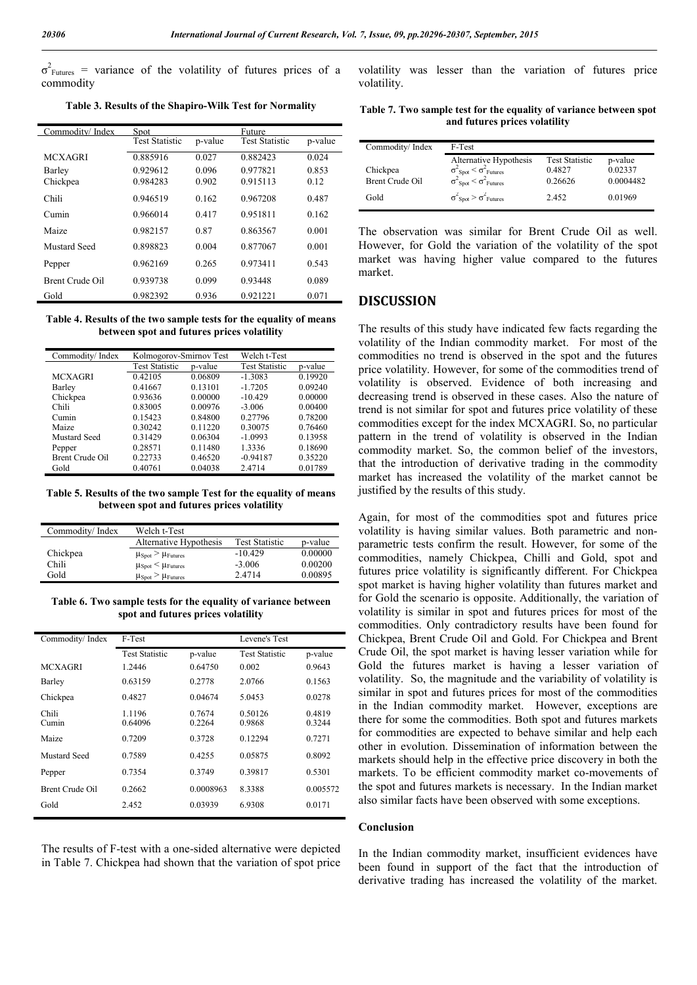$\sigma_{\text{Futures}}^2$  = variance of the volatility of futures prices of a commodity

**Table 3. Results of the Shapiro-Wilk Test for Normality**

| Commoditv/ Index | Spot                  |         | Future                |         |
|------------------|-----------------------|---------|-----------------------|---------|
|                  | <b>Test Statistic</b> | p-value | <b>Test Statistic</b> | p-value |
| <b>MCXAGRI</b>   | 0.885916              | 0.027   | 0.882423              | 0.024   |
| Barley           | 0.929612              | 0.096   | 0.977821              | 0.853   |
| Chickpea         | 0.984283              | 0.902   | 0.915113              | 0.12    |
| Chili            | 0.946519              | 0.162   | 0.967208              | 0.487   |
| $C$ umin         | 0.966014              | 0.417   | 0.951811              | 0.162   |
| Maize            | 0.982157              | 0.87    | 0.863567              | 0.001   |
| Mustard Seed     | 0.898823              | 0.004   | 0.877067              | 0.001   |
| Pepper           | 0.962169              | 0.265   | 0.973411              | 0.543   |
| Brent Crude Oil  | 0.939738              | 0.099   | 0.93448               | 0.089   |
| Gold             | 0.982392              | 0.936   | 0.921221              | 0.071   |

**Table 4. Results of the two sample tests for the equality of means between spot and futures prices volatility**

| Commodity/Index | Kolmogorov-Smirnov Test |         | Welch t-Test          |         |
|-----------------|-------------------------|---------|-----------------------|---------|
|                 | <b>Test Statistic</b>   | p-value | <b>Test Statistic</b> | p-value |
| MCXAGRI         | 0.42105                 | 0.06809 | $-1.3083$             | 0.19920 |
| Barley          | 0.41667                 | 0.13101 | $-1.7205$             | 0.09240 |
| Chickpea        | 0.93636                 | 0.00000 | $-10.429$             | 0.00000 |
| Chili           | 0.83005                 | 0.00976 | $-3.006$              | 0.00400 |
| Cumin           | 0.15423                 | 0.84800 | 0.27796               | 0.78200 |
| Maize           | 0.30242                 | 0.11220 | 0.30075               | 0.76460 |
| Mustard Seed    | 0.31429                 | 0.06304 | $-1.0993$             | 0.13958 |
| Pepper          | 0.28571                 | 0.11480 | 1.3336                | 0.18690 |
| Brent Crude Oil | 0.22733                 | 0.46520 | $-0.94187$            | 0.35220 |
| Gold            | 0.40761                 | 0.04038 | 2.4714                | 0.01789 |

**Table 5. Results of the two sample Test for the equality of means between spot and futures prices volatility**

| Commodity/Index | Welch t-Test                               |                       |         |
|-----------------|--------------------------------------------|-----------------------|---------|
|                 | Alternative Hypothesis                     | <b>Test Statistic</b> | p-value |
| Chickpea        | $\mu_{Spot} > \mu_{Futures}$               | $-10.429$             | 0.00000 |
| Chili           | $\mu_{Spot} < \mu_{Futures}$               | $-3.006$              | 0.00200 |
| Gold            | $\mu_{\text{Spot}} > \mu_{\text{Futures}}$ | 2.4714                | 0.00895 |

**Table 6. Two sample tests for the equality of variance between spot and futures prices volatility**

| Commodity/Index | F-Test                |                  | Levene's Test         |                  |
|-----------------|-----------------------|------------------|-----------------------|------------------|
|                 | <b>Test Statistic</b> | p-value          | <b>Test Statistic</b> | p-value          |
| <b>MCXAGRI</b>  | 1.2446                | 0.64750          | 0.002                 | 0.9643           |
| Barley          | 0.63159               | 0.2778           | 2.0766                | 0.1563           |
| Chickpea        | 0.4827                | 0.04674          | 5.0453                | 0.0278           |
| Chili<br>Cumin  | 1.1196<br>0.64096     | 0.7674<br>0.2264 | 0.50126<br>0.9868     | 0.4819<br>0.3244 |
| Maize           | 0.7209                | 0.3728           | 0.12294               | 0.7271           |
| Mustard Seed    | 0.7589                | 0.4255           | 0.05875               | 0.8092           |
| Pepper          | 0.7354                | 0.3749           | 0.39817               | 0.5301           |
| Brent Crude Oil | 0.2662                | 0.0008963        | 8.3388                | 0.005572         |
| Gold            | 2.452                 | 0.03939          | 6.9308                | 0.0171           |

The results of F-test with a one-sided alternative were depicted in Table 7. Chickpea had shown that the variation of spot price volatility was lesser than the variation of futures price volatility.

**Table 7. Two sample test for the equality of variance between spot and futures prices volatility** 

| Commodity/Index                     | F-Test                                                                                                                                                                          |                                                     |                                            |
|-------------------------------------|---------------------------------------------------------------------------------------------------------------------------------------------------------------------------------|-----------------------------------------------------|--------------------------------------------|
| Chickpea<br>Brent Crude Oil<br>Gold | Alternative Hypothesis<br>$\begin{array}{c}\n\sigma_{Spot}^2 < \sigma_{Futures}^2 \\ \sigma_{Spot}^2 < \sigma_{Futures}^2\n\end{array}$<br>$\sigma^2$ Spot $> \sigma^2$ Futures | <b>Test Statistic</b><br>0.4827<br>0.26626<br>2.452 | p-value<br>0.02337<br>0.0004482<br>0.01969 |

The observation was similar for Brent Crude Oil as well. However, for Gold the variation of the volatility of the spot market was having higher value compared to the futures market.

### **DISCUSSION**

The results of this study have indicated few facts regarding the volatility of the Indian commodity market. For most of the commodities no trend is observed in the spot and the futures price volatility. However, for some of the commodities trend of volatility is observed. Evidence of both increasing and decreasing trend is observed in these cases. Also the nature of trend is not similar for spot and futures price volatility of these commodities except for the index MCXAGRI. So, no particular pattern in the trend of volatility is observed in the Indian commodity market. So, the common belief of the investors, that the introduction of derivative trading in the commodity market has increased the volatility of the market cannot be justified by the results of this study.

Again, for most of the commodities spot and futures price volatility is having similar values. Both parametric and nonparametric tests confirm the result. However, for some of the commodities, namely Chickpea, Chilli and Gold, spot and futures price volatility is significantly different. For Chickpea spot market is having higher volatility than futures market and for Gold the scenario is opposite. Additionally, the variation of volatility is similar in spot and futures prices for most of the commodities. Only contradictory results have been found for Chickpea, Brent Crude Oil and Gold. For Chickpea and Brent Crude Oil, the spot market is having lesser variation while for Gold the futures market is having a lesser variation of volatility. So, the magnitude and the variability of volatility is similar in spot and futures prices for most of the commodities in the Indian commodity market. However, exceptions are there for some the commodities. Both spot and futures markets for commodities are expected to behave similar and help each other in evolution. Dissemination of information between the markets should help in the effective price discovery in both the markets. To be efficient commodity market co-movements of the spot and futures markets is necessary. In the Indian market also similar facts have been observed with some exceptions.

#### **Conclusion**

In the Indian commodity market, insufficient evidences have been found in support of the fact that the introduction of derivative trading has increased the volatility of the market.